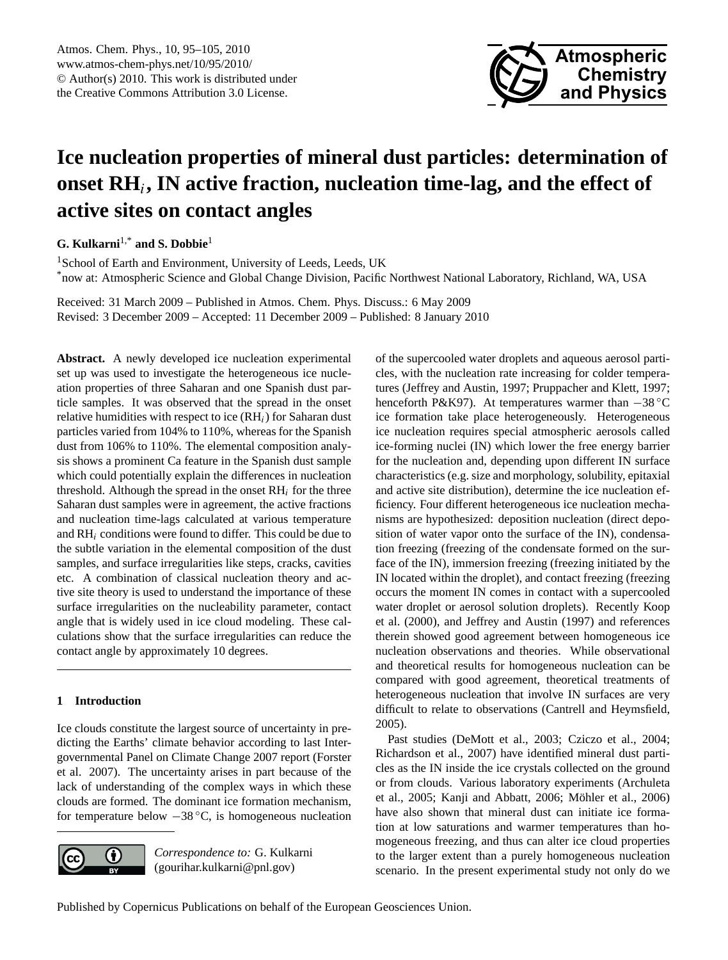

# <span id="page-0-0"></span>**Ice nucleation properties of mineral dust particles: determination of onset RH**<sup>i</sup> **, IN active fraction, nucleation time-lag, and the effect of active sites on contact angles**

**G. Kulkarni**1,\* **and S. Dobbie**<sup>1</sup>

<sup>1</sup>School of Earth and Environment, University of Leeds, Leeds, UK \*now at: Atmospheric Science and Global Change Division, Pacific Northwest National Laboratory, Richland, WA, USA

Received: 31 March 2009 – Published in Atmos. Chem. Phys. Discuss.: 6 May 2009 Revised: 3 December 2009 – Accepted: 11 December 2009 – Published: 8 January 2010

**Abstract.** A newly developed ice nucleation experimental set up was used to investigate the heterogeneous ice nucleation properties of three Saharan and one Spanish dust particle samples. It was observed that the spread in the onset relative humidities with respect to ice  $(RH_i)$  for Saharan dust particles varied from 104% to 110%, whereas for the Spanish dust from 106% to 110%. The elemental composition analysis shows a prominent Ca feature in the Spanish dust sample which could potentially explain the differences in nucleation threshold. Although the spread in the onset  $RH_i$  for the three Saharan dust samples were in agreement, the active fractions and nucleation time-lags calculated at various temperature and  $RH_i$  conditions were found to differ. This could be due to the subtle variation in the elemental composition of the dust samples, and surface irregularities like steps, cracks, cavities etc. A combination of classical nucleation theory and active site theory is used to understand the importance of these surface irregularities on the nucleability parameter, contact angle that is widely used in ice cloud modeling. These calculations show that the surface irregularities can reduce the contact angle by approximately 10 degrees.

# **1 Introduction**

Ice clouds constitute the largest source of uncertainty in predicting the Earths' climate behavior according to last Intergovernmental Panel on Climate Change 2007 report (Forster et al. 2007). The uncertainty arises in part because of the lack of understanding of the complex ways in which these clouds are formed. The dominant ice formation mechanism, for temperature below −38 ◦C, is homogeneous nucleation



*Correspondence to:* G. Kulkarni (gourihar.kulkarni@pnl.gov)

of the supercooled water droplets and aqueous aerosol particles, with the nucleation rate increasing for colder temperatures (Jeffrey and Austin, 1997; Pruppacher and Klett, 1997; henceforth P&K97). At temperatures warmer than −38 ◦C ice formation take place heterogeneously. Heterogeneous ice nucleation requires special atmospheric aerosols called ice-forming nuclei (IN) which lower the free energy barrier for the nucleation and, depending upon different IN surface characteristics (e.g. size and morphology, solubility, epitaxial and active site distribution), determine the ice nucleation efficiency. Four different heterogeneous ice nucleation mechanisms are hypothesized: deposition nucleation (direct deposition of water vapor onto the surface of the IN), condensation freezing (freezing of the condensate formed on the surface of the IN), immersion freezing (freezing initiated by the IN located within the droplet), and contact freezing (freezing occurs the moment IN comes in contact with a supercooled water droplet or aerosol solution droplets). Recently Koop et al. (2000), and Jeffrey and Austin (1997) and references therein showed good agreement between homogeneous ice nucleation observations and theories. While observational and theoretical results for homogeneous nucleation can be compared with good agreement, theoretical treatments of heterogeneous nucleation that involve IN surfaces are very difficult to relate to observations (Cantrell and Heymsfield, 2005).

Past studies (DeMott et al., 2003; Cziczo et al., 2004; Richardson et al., 2007) have identified mineral dust particles as the IN inside the ice crystals collected on the ground or from clouds. Various laboratory experiments (Archuleta et al., 2005; Kanji and Abbatt, 2006; Möhler et al., 2006) have also shown that mineral dust can initiate ice formation at low saturations and warmer temperatures than homogeneous freezing, and thus can alter ice cloud properties to the larger extent than a purely homogeneous nucleation scenario. In the present experimental study not only do we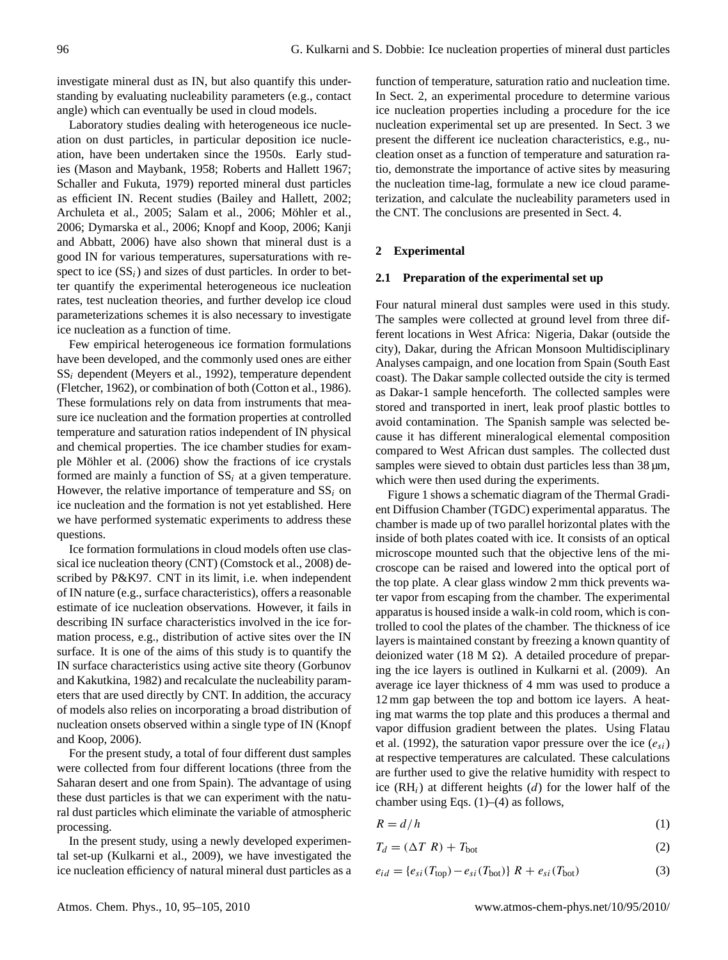investigate mineral dust as IN, but also quantify this understanding by evaluating nucleability parameters (e.g., contact angle) which can eventually be used in cloud models.

Laboratory studies dealing with heterogeneous ice nucleation on dust particles, in particular deposition ice nucleation, have been undertaken since the 1950s. Early studies (Mason and Maybank, 1958; Roberts and Hallett 1967; Schaller and Fukuta, 1979) reported mineral dust particles as efficient IN. Recent studies (Bailey and Hallett, 2002; Archuleta et al., 2005; Salam et al., 2006; Möhler et al., 2006; Dymarska et al., 2006; Knopf and Koop, 2006; Kanji and Abbatt, 2006) have also shown that mineral dust is a good IN for various temperatures, supersaturations with respect to ice  $(SS<sub>i</sub>)$  and sizes of dust particles. In order to better quantify the experimental heterogeneous ice nucleation rates, test nucleation theories, and further develop ice cloud parameterizations schemes it is also necessary to investigate ice nucleation as a function of time.

Few empirical heterogeneous ice formation formulations have been developed, and the commonly used ones are either  $SS_i$  dependent (Meyers et al., 1992), temperature dependent (Fletcher, 1962), or combination of both (Cotton et al., 1986). These formulations rely on data from instruments that measure ice nucleation and the formation properties at controlled temperature and saturation ratios independent of IN physical and chemical properties. The ice chamber studies for example Möhler et al.  $(2006)$  show the fractions of ice crystals formed are mainly a function of  $SS_i$  at a given temperature. However, the relative importance of temperature and  $SS_i$  on ice nucleation and the formation is not yet established. Here we have performed systematic experiments to address these questions.

Ice formation formulations in cloud models often use classical ice nucleation theory (CNT) (Comstock et al., 2008) described by P&K97. CNT in its limit, i.e. when independent of IN nature (e.g., surface characteristics), offers a reasonable estimate of ice nucleation observations. However, it fails in describing IN surface characteristics involved in the ice formation process, e.g., distribution of active sites over the IN surface. It is one of the aims of this study is to quantify the IN surface characteristics using active site theory (Gorbunov and Kakutkina, 1982) and recalculate the nucleability parameters that are used directly by CNT. In addition, the accuracy of models also relies on incorporating a broad distribution of nucleation onsets observed within a single type of IN (Knopf and Koop, 2006).

For the present study, a total of four different dust samples were collected from four different locations (three from the Saharan desert and one from Spain). The advantage of using these dust particles is that we can experiment with the natural dust particles which eliminate the variable of atmospheric processing.

In the present study, using a newly developed experimental set-up (Kulkarni et al., 2009), we have investigated the ice nucleation efficiency of natural mineral dust particles as a

function of temperature, saturation ratio and nucleation time. In Sect. 2, an experimental procedure to determine various ice nucleation properties including a procedure for the ice nucleation experimental set up are presented. In Sect. 3 we present the different ice nucleation characteristics, e.g., nucleation onset as a function of temperature and saturation ratio, demonstrate the importance of active sites by measuring the nucleation time-lag, formulate a new ice cloud parameterization, and calculate the nucleability parameters used in the CNT. The conclusions are presented in Sect. 4.

# **2 Experimental**

## **2.1 Preparation of the experimental set up**

Four natural mineral dust samples were used in this study. The samples were collected at ground level from three different locations in West Africa: Nigeria, Dakar (outside the city), Dakar, during the African Monsoon Multidisciplinary Analyses campaign, and one location from Spain (South East coast). The Dakar sample collected outside the city is termed as Dakar-1 sample henceforth. The collected samples were stored and transported in inert, leak proof plastic bottles to avoid contamination. The Spanish sample was selected because it has different mineralogical elemental composition compared to West African dust samples. The collected dust samples were sieved to obtain dust particles less than  $38 \mu m$ , which were then used during the experiments.

Figure 1 shows a schematic diagram of the Thermal Gradient Diffusion Chamber (TGDC) experimental apparatus. The chamber is made up of two parallel horizontal plates with the inside of both plates coated with ice. It consists of an optical microscope mounted such that the objective lens of the microscope can be raised and lowered into the optical port of the top plate. A clear glass window 2 mm thick prevents water vapor from escaping from the chamber. The experimental apparatus is housed inside a walk-in cold room, which is controlled to cool the plates of the chamber. The thickness of ice layers is maintained constant by freezing a known quantity of deionized water (18 M  $\Omega$ ). A detailed procedure of preparing the ice layers is outlined in Kulkarni et al. (2009). An average ice layer thickness of 4 mm was used to produce a 12 mm gap between the top and bottom ice layers. A heating mat warms the top plate and this produces a thermal and vapor diffusion gradient between the plates. Using Flatau et al. (1992), the saturation vapor pressure over the ice  $(e_{si})$ at respective temperatures are calculated. These calculations are further used to give the relative humidity with respect to ice  $(RH_i)$  at different heights (d) for the lower half of the chamber using Eqs.  $(1)$ – $(4)$  as follows,

$$
R = d/h \tag{1}
$$

$$
T_d = (\Delta T \ R) + T_{\text{bot}} \tag{2}
$$

$$
e_{id} = \{e_{si}(T_{\text{top}}) - e_{si}(T_{\text{bot}})\} \ R + e_{si}(T_{\text{bot}}) \tag{3}
$$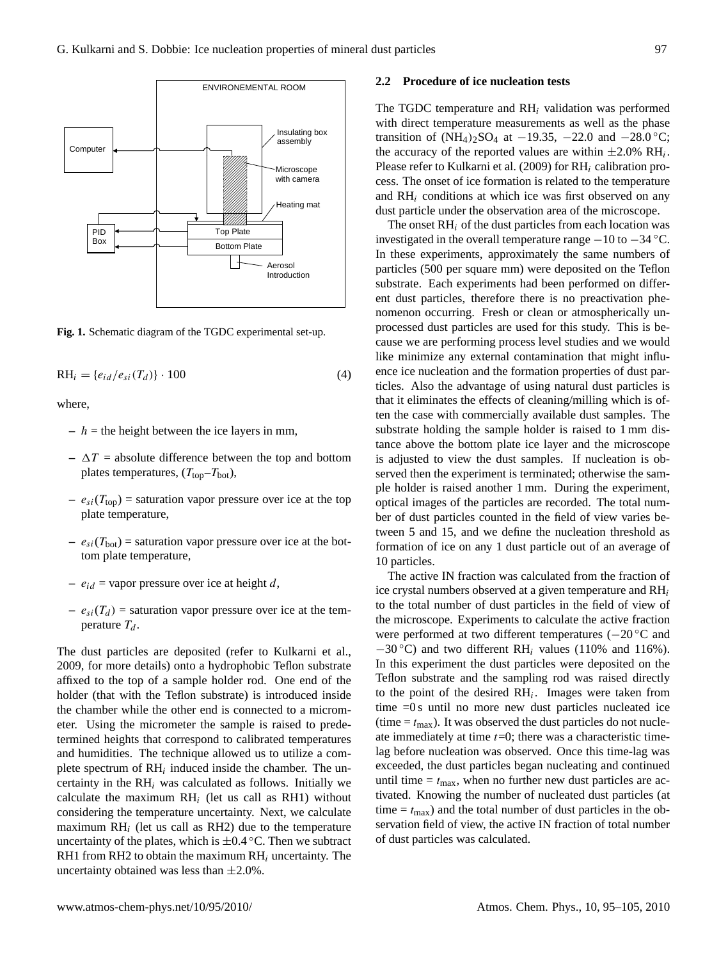

Fig. 1. Schematic diagram of the TGDC experimental set-up.

$$
RH_i = \{e_{id}/e_{si}(T_d)\} \cdot 100\tag{4}
$$

where,

- $-h =$  the height between the ice layers in mm,
- $-\Delta T$  = absolute difference between the top and bottom plates temperatures,  $(T_{top}-T_{bot})$ ,
- $-e_{si}(T_{top})$  = saturation vapor pressure over ice at the top plate temperature,
- $-e_{si}(T_{bot})$  = saturation vapor pressure over ice at the bottom plate temperature,
- $-e_{id}$  = vapor pressure over ice at height d,
- $-e_{si}(T_d)$  = saturation vapor pressure over ice at the temperature  $T_d$ .

The dust particles are deposited (refer to Kulkarni et al., 2009, for more details) onto a hydrophobic Teflon substrate affixed to the top of a sample holder rod. One end of the holder (that with the Teflon substrate) is introduced inside the chamber while the other end is connected to a micrometer. Using the micrometer the sample is raised to predetermined heights that correspond to calibrated temperatures and humidities. The technique allowed us to utilize a complete spectrum of  $RH_i$  induced inside the chamber. The uncertainty in the  $RH_i$  was calculated as follows. Initially we calculate the maximum  $RH_i$  (let us call as RH1) without considering the temperature uncertainty. Next, we calculate maximum  $RH_i$  (let us call as RH2) due to the temperature uncertainty of the plates, which is  $\pm 0.4$  °C. Then we subtract RH1 from RH2 to obtain the maximum  $RH_i$  uncertainty. The uncertainty obtained was less than  $\pm 2.0\%$ .

#### **2.2 Procedure of ice nucleation tests**

The TGDC temperature and  $RH_i$  validation was performed with direct temperature measurements as well as the phase transition of  $(NH_4)_2SO_4$  at  $-19.35$ ,  $-22.0$  and  $-28.0$ °C; the accuracy of the reported values are within  $\pm 2.0\%$  RH<sub>i</sub>. Please refer to Kulkarni et al. (2009) for  $RH_i$  calibration process. The onset of ice formation is related to the temperature and  $RH_i$  conditions at which ice was first observed on any dust particle under the observation area of the microscope.

The onset  $RH_i$  of the dust particles from each location was investigated in the overall temperature range  $-10$  to  $-34$  °C. In these experiments, approximately the same numbers of particles (500 per square mm) were deposited on the Teflon substrate. Each experiments had been performed on different dust particles, therefore there is no preactivation phenomenon occurring. Fresh or clean or atmospherically unprocessed dust particles are used for this study. This is because we are performing process level studies and we would like minimize any external contamination that might influence ice nucleation and the formation properties of dust particles. Also the advantage of using natural dust particles is that it eliminates the effects of cleaning/milling which is often the case with commercially available dust samples. The substrate holding the sample holder is raised to 1 mm distance above the bottom plate ice layer and the microscope is adjusted to view the dust samples. If nucleation is observed then the experiment is terminated; otherwise the sample holder is raised another 1 mm. During the experiment, optical images of the particles are recorded. The total number of dust particles counted in the field of view varies between 5 and 15, and we define the nucleation threshold as formation of ice on any 1 dust particle out of an average of 10 particles.

The active IN fraction was calculated from the fraction of ice crystal numbers observed at a given temperature and  $RH_i$ to the total number of dust particles in the field of view of the microscope. Experiments to calculate the active fraction were performed at two different temperatures (−20 ◦C and  $-30$  °C) and two different RH<sub>i</sub> values (110% and 116%). In this experiment the dust particles were deposited on the Teflon substrate and the sampling rod was raised directly to the point of the desired  $RH_i$ . Images were taken from time =0 s until no more new dust particles nucleated ice (time  $= t_{\text{max}}$ ). It was observed the dust particles do not nucleate immediately at time  $t=0$ ; there was a characteristic timelag before nucleation was observed. Once this time-lag was exceeded, the dust particles began nucleating and continued until time  $= t_{\text{max}}$ , when no further new dust particles are activated. Knowing the number of nucleated dust particles (at time  $= t_{\text{max}}$ ) and the total number of dust particles in the observation field of view, the active IN fraction of total number of dust particles was calculated.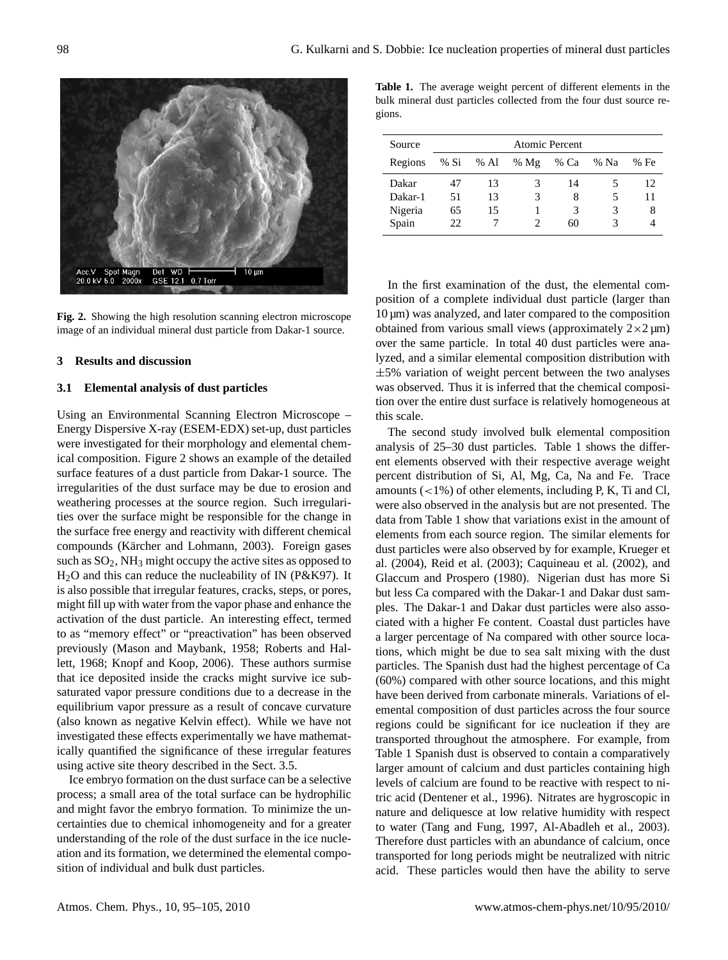

**Fig. 2.** Showing the high resolution scanning electron microscope  $10 \mu m$ image of an individual mineral dust particle from Dakar-1 source.

## **3 Results and discussion**

## **3.1 Elemental analysis of dust particles**

lett, 1968; Knopf and Koop, 2006). These authors surmise Using an Environmental Scanning Electron Microscope – Energy Dispersive X-ray (ESEM-EDX) set-up, dust particles were investigated for their morphology and elemental chemical composition. Figure 2 shows an example of the detailed surface features of a dust particle from Dakar-1 source. The irregularities of the dust surface may be due to erosion and weathering processes at the source region. Such irregularities over the surface might be responsible for the change in the surface free energy and reactivity with different chemical compounds (Kärcher and Lohmann, 2003). Foreign gases such as  $SO_2$ , NH<sub>3</sub> might occupy the active sites as opposed to H2O and this can reduce the nucleability of IN (P&K97). It is also possible that irregular features, cracks, steps, or pores, might fill up with water from the vapor phase and enhance the activation of the dust particle. An interesting effect, termed to as "memory effect" or "preactivation" has been observed previously (Mason and Maybank, 1958; Roberts and Halthat ice deposited inside the cracks might survive ice subsaturated vapor pressure conditions due to a decrease in the equilibrium vapor pressure as a result of concave curvature (also known as negative Kelvin effect). While we have not investigated these effects experimentally we have mathematically quantified the significance of these irregular features using active site theory described in the Sect. 3.5.

Ice embryo formation on the dust surface can be a selective process; a small area of the total surface can be hydrophilic and might favor the embryo formation. To minimize the uncertainties due to chemical inhomogeneity and for a greater understanding of the role of the dust surface in the ice nucleation and its formation, we determined the elemental composition of individual and bulk dust particles.

**Table 1.** The average weight percent of different elements in the bulk mineral dust particles collected from the four dust source regions.

| Source  | <b>Atomic Percent</b> |        |        |      |      |     |
|---------|-----------------------|--------|--------|------|------|-----|
| Regions | % Si                  | $%$ Al | % $Mg$ | % Ca | % Na | %Fe |
| Dakar   | 47                    | 13     | 3      | 14   | 5    | 12  |
| Dakar-1 | 51                    | 13     | 3      | 8    | 5    | 11  |
| Nigeria | 65                    | 15     |        | 3    | 3    | 8   |
| Spain   | 22                    |        |        | 60   | 3    |     |

In the first examination of the dust, the elemental composition of a complete individual dust particle (larger than  $10 \,\mu m$ ) was analyzed, and later compared to the composition obtained from various small views (approximately  $2\times2 \mu m$ ) over the same particle. In total 40 dust particles were analyzed, and a similar elemental composition distribution with  $\pm$ 5% variation of weight percent between the two analyses was observed. Thus it is inferred that the chemical composition over the entire dust surface is relatively homogeneous at this scale.

The second study involved bulk elemental composition analysis of 25–30 dust particles. Table 1 shows the different elements observed with their respective average weight percent distribution of Si, Al, Mg, Ca, Na and Fe. Trace amounts  $\left($  < 1%) of other elements, including P, K, Ti and Cl, were also observed in the analysis but are not presented. The data from Table 1 show that variations exist in the amount of elements from each source region. The similar elements for dust particles were also observed by for example, Krueger et al. (2004), Reid et al. (2003); Caquineau et al. (2002), and Glaccum and Prospero (1980). Nigerian dust has more Si but less Ca compared with the Dakar-1 and Dakar dust samples. The Dakar-1 and Dakar dust particles were also associated with a higher Fe content. Coastal dust particles have a larger percentage of Na compared with other source locations, which might be due to sea salt mixing with the dust particles. The Spanish dust had the highest percentage of Ca (60%) compared with other source locations, and this might have been derived from carbonate minerals. Variations of elemental composition of dust particles across the four source regions could be significant for ice nucleation if they are transported throughout the atmosphere. For example, from Table 1 Spanish dust is observed to contain a comparatively larger amount of calcium and dust particles containing high levels of calcium are found to be reactive with respect to nitric acid (Dentener et al., 1996). Nitrates are hygroscopic in nature and deliquesce at low relative humidity with respect to water (Tang and Fung, 1997, Al-Abadleh et al., 2003). Therefore dust particles with an abundance of calcium, once transported for long periods might be neutralized with nitric acid. These particles would then have the ability to serve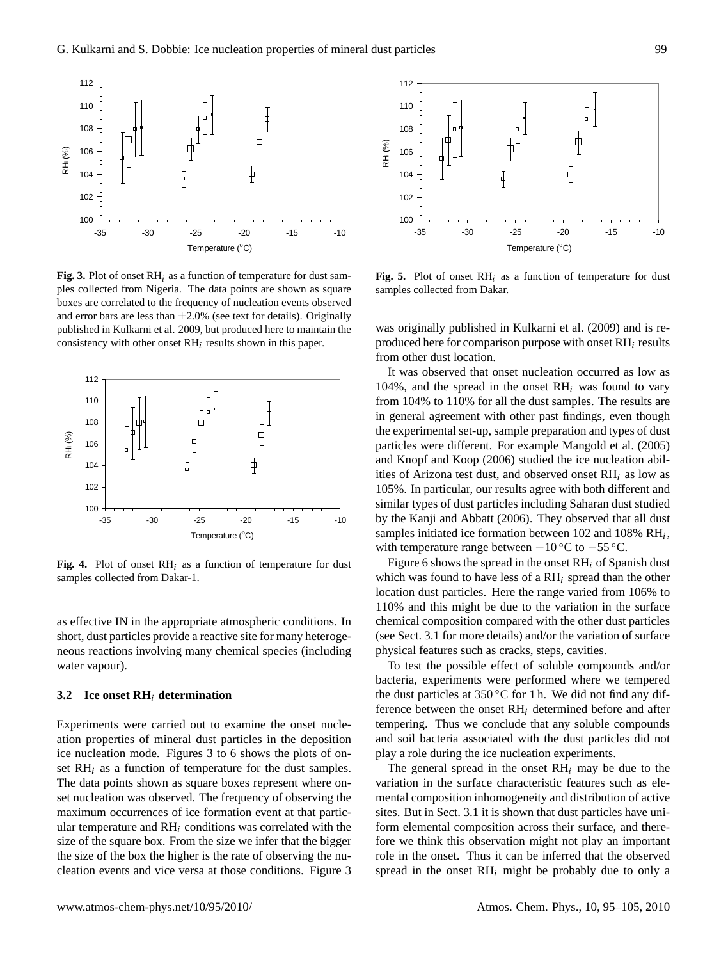

**Fig. 3.** Plot of onset  $RH_i$  as a function of temperature for dust sam-<br>**Fig. 5.** ples collected from Nigeria. The data points are shown as square samples boxes are correlated to the frequency of nucleation events observed ma crist call are results and maintain of the constraints. The consistency published in Kulkarni et al. 2009, but produced here to maintain the was ori consistency with other onset  $RH_i$  results shown in this paper. and error bars are less than  $\pm 2.0\%$  (see text for details). Originally



**Fig. 4.** Plot of onset  $RH_i$  as a function of temperature for dust Fig. samples collected from Dakar-1.

as effective IN in the appropriate atmospheric conditions. In short, dust particles provide a reactive site for many heterogeneous reactions involving many chemical species (including water vapour).

## **3.2 Ice onset RH**<sup>i</sup> **determination**

the size of the box the higher is the rate of observing the nu-Experiments were carried out to examine the onset nucleation properties of mineral dust particles in the deposition ice nucleation mode. Figures 3 to 6 shows the plots of onset  $RH_i$  as a function of temperature for the dust samples. The data points shown as square boxes represent where onset nucleation was observed. The frequency of observing the maximum occurrences of ice formation event at that particular temperature and  $RH_i$  conditions was correlated with the size of the square box. From the size we infer that the bigger cleation events and vice versa at those conditions. Figure 3



**Fig. 5.** Plot of onset  $RH_i$  as a function of temperature for dust samples collected from Dakar.

was originally published in Kulkarni et al. (2009) and is reproduced here for comparison purpose with onset  $RH_i$  results from other dust location.

It was observed that onset nucleation occurred as low as 104%, and the spread in the onset  $RH_i$  was found to vary from 104% to 110% for all the dust samples. The results are in general agreement with other past findings, even though the experimental set-up, sample preparation and types of dust particles were different. For example Mangold et al. (2005) and Knopf and Koop (2006) studied the ice nucleation abilities of Arizona test dust, and observed onset  $RH_i$  as low as 105%. In particular, our results agree with both different and similar types of dust particles including Saharan dust studied by the Kanji and Abbatt (2006). They observed that all dust samples initiated ice formation between 102 and 108%  $RH_i$ , with temperature range between  $-10\degree C$  to  $-55\degree C$ .

which was found to have less of a  $RH_i$  spread than the other Figure 6 shows the spread in the onset  $RH_i$  of Spanish dust location dust particles. Here the range varied from 106% to 110% and this might be due to the variation in the surface chemical composition compared with the other dust particles (see Sect. 3.1 for more details) and/or the variation of surface physical features such as cracks, steps, cavities.

To test the possible effect of soluble compounds and/or bacteria, experiments were performed where we tempered the dust particles at  $350\,^{\circ}\text{C}$  for 1 h. We did not find any difference between the onset  $RH_i$  determined before and after tempering. Thus we conclude that any soluble compounds and soil bacteria associated with the dust particles did not play a role during the ice nucleation experiments.

The general spread in the onset  $RH_i$  may be due to the variation in the surface characteristic features such as elemental composition inhomogeneity and distribution of active sites. But in Sect. 3.1 it is shown that dust particles have uniform elemental composition across their surface, and therefore we think this observation might not play an important role in the onset. Thus it can be inferred that the observed spread in the onset  $RH_i$  might be probably due to only a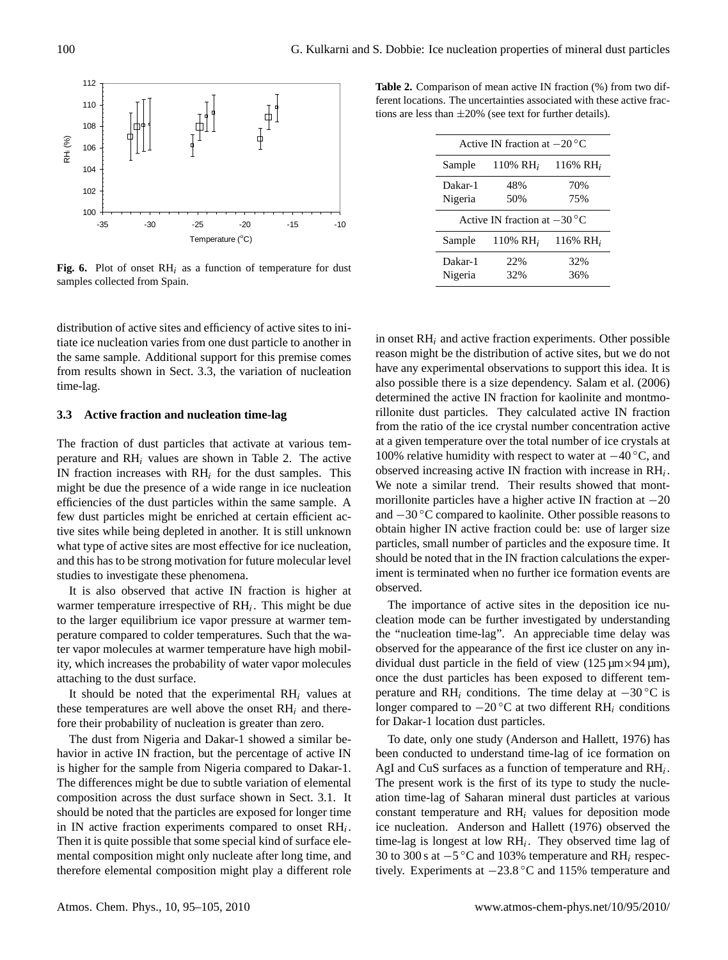

Fig. 6. Plot of onset  $RH_i$  as a function of temperature for dust samples collected from Spain.

distribution of active sites and efficiency of active sites to initiate ice nucleation varies from one dust particle to another in the same sample. Additional support for this premise comes from results shown in Sect. 3.3, the variation of nucleation time-lag.

#### **3.3 Active fraction and nucleation time-lag**

and this has to be strong motivation for future molecular level The fraction of dust particles that activate at various temperature and  $RH_i$  values are shown in Table 2. The active IN fraction increases with  $RH_i$  for the dust samples. This might be due the presence of a wide range in ice nucleation efficiencies of the dust particles within the same sample. A few dust particles might be enriched at certain efficient active sites while being depleted in another. It is still unknown what type of active sites are most effective for ice nucleation, studies to investigate these phenomena.

It is also observed that active IN fraction is higher at warmer temperature irrespective of  $RH_i$ . This might be due to the larger equilibrium ice vapor pressure at warmer temperature compared to colder temperatures. Such that the water vapor molecules at warmer temperature have high mobility, which increases the probability of water vapor molecules attaching to the dust surface.

It should be noted that the experimental  $RH_i$  values at these temperatures are well above the onset  $RH_i$  and therefore their probability of nucleation is greater than zero.

The dust from Nigeria and Dakar-1 showed a similar behavior in active IN fraction, but the percentage of active IN is higher for the sample from Nigeria compared to Dakar-1. The differences might be due to subtle variation of elemental composition across the dust surface shown in Sect. 3.1. It should be noted that the particles are exposed for longer time in IN active fraction experiments compared to onset  $RH_i$ . Then it is quite possible that some special kind of surface elemental composition might only nucleate after long time, and therefore elemental composition might play a different role

**Table 2.** Comparison of mean active IN fraction (%) from two different locations. The uncertainties associated with these active fractions are less than  $\pm 20\%$  (see text for further details).

| Active IN fraction at $-20^{\circ}$ C |                      |                      |  |  |  |
|---------------------------------------|----------------------|----------------------|--|--|--|
| Sample                                | 110% RH <sub>i</sub> | 116% RH <sub>i</sub> |  |  |  |
| Dakar-1                               | 48%                  | 70%                  |  |  |  |
| Nigeria                               | 50%                  | 75%                  |  |  |  |
| Active IN fraction at $-30^{\circ}$ C |                      |                      |  |  |  |
| Sample                                | 110% $RH_i$          | 116% RH <sub>i</sub> |  |  |  |
| Dakar-1                               | 22%                  | 32%                  |  |  |  |
| Nigeria                               | 32%                  | 36%                  |  |  |  |

in onset  $RH_i$  and active fraction experiments. Other possible reason might be the distribution of active sites, but we do not have any experimental observations to support this idea. It is also possible there is a size dependency. Salam et al. (2006) determined the active IN fraction for kaolinite and montmorillonite dust particles. They calculated active IN fraction from the ratio of the ice crystal number concentration active at a given temperature over the total number of ice crystals at 100% relative humidity with respect to water at −40 ◦C, and observed increasing active IN fraction with increase in  $RH_i$ . We note a similar trend. Their results showed that montmorillonite particles have a higher active IN fraction at  $-20$ and −30 ◦C compared to kaolinite. Other possible reasons to obtain higher IN active fraction could be: use of larger size particles, small number of particles and the exposure time. It should be noted that in the IN fraction calculations the experiment is terminated when no further ice formation events are observed.

The importance of active sites in the deposition ice nucleation mode can be further investigated by understanding the "nucleation time-lag". An appreciable time delay was observed for the appearance of the first ice cluster on any individual dust particle in the field of view  $(125 \mu m \times 94 \mu m)$ , once the dust particles has been exposed to different temperature and RH<sub>i</sub> conditions. The time delay at  $-30$  °C is longer compared to  $-20$  °C at two different RH<sub>i</sub> conditions for Dakar-1 location dust particles.

To date, only one study (Anderson and Hallett, 1976) has been conducted to understand time-lag of ice formation on AgI and CuS surfaces as a function of temperature and  $RH_i$ . The present work is the first of its type to study the nucleation time-lag of Saharan mineral dust particles at various constant temperature and  $RH_i$  values for deposition mode ice nucleation. Anderson and Hallett (1976) observed the time-lag is longest at low  $RH_i$ . They observed time lag of 30 to 300 s at −5 ◦C and 103% temperature and RH<sup>i</sup> respectively. Experiments at −23.8 ◦C and 115% temperature and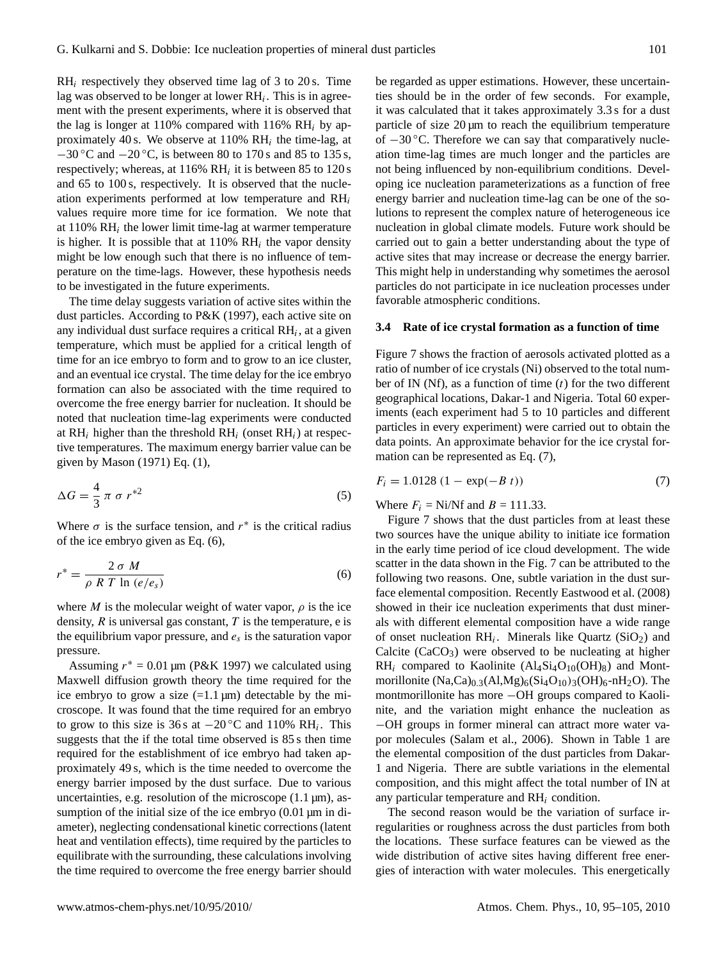$RH_i$  respectively they observed time lag of 3 to 20 s. Time lag was observed to be longer at lower  $RH_i$ . This is in agreement with the present experiments, where it is observed that the lag is longer at 110% compared with 116% RH $_i$  by approximately 40 s. We observe at  $110\% \text{ RH}_i$  the time-lag, at  $-30$  °C and  $-20$  °C, is between 80 to 170 s and 85 to 135 s, respectively; whereas, at  $116\% \text{ RH}_i$  it is between 85 to  $120 \text{ s}$ and 65 to 100 s, respectively. It is observed that the nucleation experiments performed at low temperature and  $RH_i$ values require more time for ice formation. We note that at  $110\%$  RH<sub>i</sub> the lower limit time-lag at warmer temperature is higher. It is possible that at  $110\%$  RH<sub>i</sub> the vapor density might be low enough such that there is no influence of temperature on the time-lags. However, these hypothesis needs to be investigated in the future experiments.

The time delay suggests variation of active sites within the dust particles. According to P&K (1997), each active site on any individual dust surface requires a critical  $RH_i$ , at a given temperature, which must be applied for a critical length of time for an ice embryo to form and to grow to an ice cluster, and an eventual ice crystal. The time delay for the ice embryo formation can also be associated with the time required to overcome the free energy barrier for nucleation. It should be noted that nucleation time-lag experiments were conducted at  $RH_i$  higher than the threshold  $RH_i$  (onset  $RH_i$ ) at respective temperatures. The maximum energy barrier value can be given by Mason (1971) Eq. (1),

$$
\Delta G = \frac{4}{3} \pi \sigma r^{*2} \tag{5}
$$

Where  $\sigma$  is the surface tension, and  $r^*$  is the critical radius of the ice embryo given as Eq. (6),

$$
r^* = \frac{2 \sigma M}{\rho R T \ln (e/e_s)}
$$
(6)

where M is the molecular weight of water vapor,  $\rho$  is the ice density,  $R$  is universal gas constant,  $T$  is the temperature, e is the equilibrium vapor pressure, and  $e_s$  is the saturation vapor pressure.

Assuming  $r^* = 0.01 \,\text{\mu m}$  (P&K 1997) we calculated using Maxwell diffusion growth theory the time required for the ice embryo to grow a size  $(=1.1 \,\text{\mu m})$  detectable by the microscope. It was found that the time required for an embryo to grow to this size is 36 s at  $-20\degree$ C and 110% RH<sub>i</sub>. This suggests that the if the total time observed is 85 s then time required for the establishment of ice embryo had taken approximately 49 s, which is the time needed to overcome the energy barrier imposed by the dust surface. Due to various uncertainties, e.g. resolution of the microscope  $(1.1 \,\mu\text{m})$ , assumption of the initial size of the ice embryo  $(0.01 \,\mu m)$  in diameter), neglecting condensational kinetic corrections (latent heat and ventilation effects), time required by the particles to equilibrate with the surrounding, these calculations involving the time required to overcome the free energy barrier should be regarded as upper estimations. However, these uncertainties should be in the order of few seconds. For example, it was calculated that it takes approximately 3.3 s for a dust particle of size  $20 \mu m$  to reach the equilibrium temperature of −30 ◦C. Therefore we can say that comparatively nucleation time-lag times are much longer and the particles are not being influenced by non-equilibrium conditions. Developing ice nucleation parameterizations as a function of free energy barrier and nucleation time-lag can be one of the solutions to represent the complex nature of heterogeneous ice nucleation in global climate models. Future work should be carried out to gain a better understanding about the type of active sites that may increase or decrease the energy barrier. This might help in understanding why sometimes the aerosol particles do not participate in ice nucleation processes under favorable atmospheric conditions.

## **3.4 Rate of ice crystal formation as a function of time**

Figure 7 shows the fraction of aerosols activated plotted as a ratio of number of ice crystals (Ni) observed to the total number of IN (Nf), as a function of time  $(t)$  for the two different geographical locations, Dakar-1 and Nigeria. Total 60 experiments (each experiment had 5 to 10 particles and different particles in every experiment) were carried out to obtain the data points. An approximate behavior for the ice crystal formation can be represented as Eq. (7),

$$
F_i = 1.0128 (1 - \exp(-B t))
$$
\n(7)

Where  $F_i = Ni/Nf$  and  $B = 111.33$ .

Figure 7 shows that the dust particles from at least these two sources have the unique ability to initiate ice formation in the early time period of ice cloud development. The wide scatter in the data shown in the Fig. 7 can be attributed to the following two reasons. One, subtle variation in the dust surface elemental composition. Recently Eastwood et al. (2008) showed in their ice nucleation experiments that dust minerals with different elemental composition have a wide range of onset nucleation  $RH_i$ . Minerals like Quartz (SiO<sub>2</sub>) and Calcite  $(CaCO<sub>3</sub>)$  were observed to be nucleating at higher  $RH_i$  compared to Kaolinite (Al<sub>4</sub>Si<sub>4</sub>O<sub>10</sub>(OH)<sub>8</sub>) and Montmorillonite  $(Na,Ca)_{0,3}(Al,Mg)_{6}(Si_4O_{10})_{3}(OH)_{6}$ -nH<sub>2</sub>O). The montmorillonite has more −OH groups compared to Kaolinite, and the variation might enhance the nucleation as −OH groups in former mineral can attract more water vapor molecules (Salam et al., 2006). Shown in Table 1 are the elemental composition of the dust particles from Dakar-1 and Nigeria. There are subtle variations in the elemental composition, and this might affect the total number of IN at any particular temperature and  $RH_i$  condition.

The second reason would be the variation of surface irregularities or roughness across the dust particles from both the locations. These surface features can be viewed as the wide distribution of active sites having different free energies of interaction with water molecules. This energetically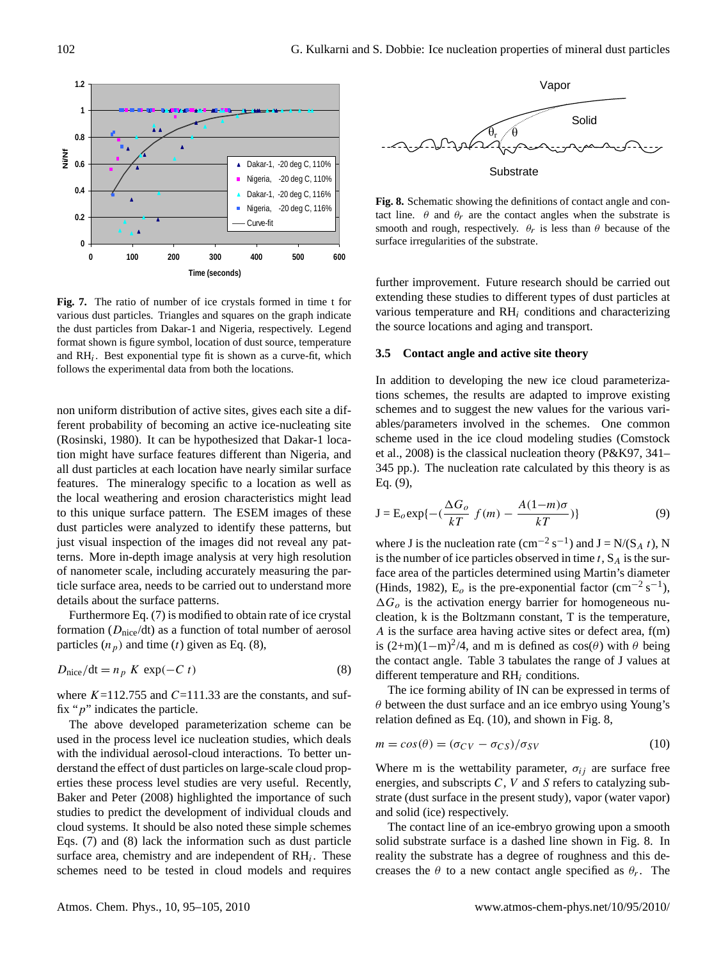

various dust particles. Triangles and squares on the graph indicate various the dust particles from Dakar-1 and Nigeria, respectively. Legend the sour format shown is figure symbol, location of dust source, temperature and RH<sub>i</sub>. Best exponential type fit is shown as a curve-fit, which  $3.5\text{ C}$ follows the experimental data from both the locations. **Fig. 7.** The ratio of number of ice crystals formed in time t for

35 ticle surface area, needs to be carried out to understand more non uniform distribution of active sites, gives each site a different probability of becoming an active ice-nucleating site (Rosinski, 1980). It can be hypothesized that Dakar-1 location might have surface features different than Nigeria, and all dust particles at each location have nearly similar surface features. The mineralogy specific to a location as well as the local weathering and erosion characteristics might lead to this unique surface pattern. The ESEM images of these dust particles were analyzed to identify these patterns, but just visual inspection of the images did not reveal any patterns. More in-depth image analysis at very high resolution of nanometer scale, including accurately measuring the pardetails about the surface patterns.

Furthermore Eq. (7) is modified to obtain rate of ice crystal formation ( $D<sub>nice</sub>/dt$ ) as a function of total number of aerosol particles  $(n_p)$  and time (t) given as Eq. (8),

$$
D_{\text{nice}}/\text{dt} = n_p \ K \ \exp(-C \ t) \tag{8}
$$

where  $K=112.755$  and  $C=111.33$  are the constants, and suffix " $p$ " indicates the particle.

The above developed parameterization scheme can be used in the process level ice nucleation studies, which deals with the individual aerosol-cloud interactions. To better understand the effect of dust particles on large-scale cloud properties these process level studies are very useful. Recently, Baker and Peter (2008) highlighted the importance of such studies to predict the development of individual clouds and cloud systems. It should be also noted these simple schemes Eqs. (7) and (8) lack the information such as dust particle surface area, chemistry and are independent of  $RH_i$ . These schemes need to be tested in cloud models and requires



tact line.  $\theta$  and  $\theta_r$  are the contact angles when the substrate is smooth and rough, respectively.  $\theta_r$  is less than  $\theta$  because of the **Fig. 8.** Schematic showing the definitions of contact angle and consurface irregularities of the substrate.

further improvement. Future research should be carried out extending these studies to different types of dust particles at various temperature and  $RH_i$  conditions and characterizing the source locations and aging and transport.

#### **3.5 Contact angle and active site theory**

In addition to developing the new ice cloud parameterizations schemes, the results are adapted to improve existing schemes and to suggest the new values for the various variables/parameters involved in the schemes. One common scheme used in the ice cloud modeling studies (Comstock et al., 2008) is the classical nucleation theory (P&K97, 341– 345 pp.). The nucleation rate calculated by this theory is as Eq. (9),

$$
\mathbf{J} = \mathbf{E}_o \exp\{-(\frac{\Delta G_o}{kT} f(m) - \frac{A(1-m)\sigma}{kT})\}
$$
(9)

where J is the nucleation rate  $(cm^{-2} s^{-1})$  and  $J = N/(S_A t)$ , N is the number of ice particles observed in time  $t$ ,  $S_A$  is the surface area of the particles determined using Martin's diameter (Hinds, 1982),  $\vec{E}_o$  is the pre-exponential factor (cm<sup>-2</sup> s<sup>-1</sup>),  $\Delta G_{o}$  is the activation energy barrier for homogeneous nucleation, k is the Boltzmann constant, T is the temperature, A is the surface area having active sites or defect area, f(m) is  $(2+m)(1-m)^2/4$ , and m is defined as  $cos(\theta)$  with  $\theta$  being the contact angle. Table 3 tabulates the range of J values at different temperature and  $RH_i$  conditions.

The ice forming ability of IN can be expressed in terms of  $\theta$  between the dust surface and an ice embryo using Young's relation defined as Eq. (10), and shown in Fig. 8,

$$
m = cos(\theta) = (\sigma_{CV} - \sigma_{CS})/\sigma_{SV}
$$
 (10)

Where m is the wettability parameter,  $\sigma_{ij}$  are surface free energies, and subscripts  $C$ ,  $V$  and  $S$  refers to catalyzing substrate (dust surface in the present study), vapor (water vapor) and solid (ice) respectively.

The contact line of an ice-embryo growing upon a smooth solid substrate surface is a dashed line shown in Fig. 8. In reality the substrate has a degree of roughness and this decreases the  $\theta$  to a new contact angle specified as  $\theta_r$ . The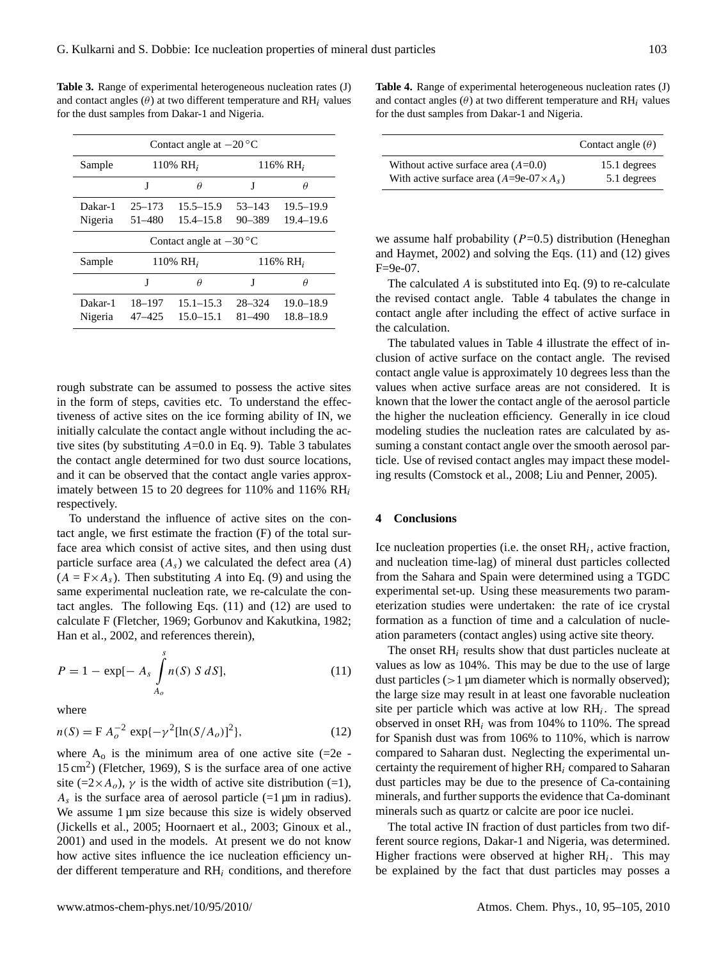| Contact angle at $-20^{\circ}$ C |             |               |             |               |  |  |
|----------------------------------|-------------|---------------|-------------|---------------|--|--|
| Sample                           |             | 110% $RH_i$   | 116% $RH_i$ |               |  |  |
|                                  | J           | θ             | J           | Ĥ             |  |  |
| Dakar-1                          | $25 - 173$  | $15.5 - 15.9$ | $53 - 143$  | $19.5 - 19.9$ |  |  |
| Nigeria                          | $51 - 480$  | $15.4 - 15.8$ | $90 - 389$  | $19.4 - 19.6$ |  |  |
| Contact angle at $-30^{\circ}$ C |             |               |             |               |  |  |
| Sample                           | 110% $RH_i$ |               | 116% $RH_i$ |               |  |  |
|                                  | J           | Ĥ             | J           | Ĥ             |  |  |
| Dakar-1                          | 18-197      | $15.1 - 15.3$ | $28 - 324$  | $19.0 - 18.9$ |  |  |
| Nigeria                          | $47 - 425$  | $15.0 - 15.1$ | 81-490      | $18.8 - 18.9$ |  |  |

**Table 3.** Range of experimental heterogeneous nucleation rates (J) and contact angles  $(\theta)$  at two different temperature and RH<sub>i</sub> values for the dust samples from Dakar-1 and Nigeria.

rough substrate can be assumed to possess the active sites in the form of steps, cavities etc. To understand the effectiveness of active sites on the ice forming ability of IN, we initially calculate the contact angle without including the active sites (by substituting  $A=0.0$  in Eq. 9). Table 3 tabulates the contact angle determined for two dust source locations, and it can be observed that the contact angle varies approximately between 15 to 20 degrees for 110% and 116%  $RH_i$ respectively.

To understand the influence of active sites on the contact angle, we first estimate the fraction (F) of the total surface area which consist of active sites, and then using dust particle surface area  $(A<sub>s</sub>)$  we calculated the defect area  $(A)$  $(A = F \times A_s)$ . Then substituting A into Eq. (9) and using the same experimental nucleation rate, we re-calculate the contact angles. The following Eqs. (11) and (12) are used to calculate F (Fletcher, 1969; Gorbunov and Kakutkina, 1982; Han et al., 2002, and references therein),

$$
P = 1 - \exp[-A_s \int_{A_o}^{s} n(S) S dS],
$$
 (11)

where

$$
n(S) = F A_o^{-2} \exp\{-\gamma^2 [\ln(S/A_o)]^2\},\tag{12}
$$

where  $A_0$  is the minimum area of one active site (=2e -15 cm<sup>2</sup> ) (Fletcher, 1969), S is the surface area of one active site (=2×A<sub>o</sub>),  $\gamma$  is the width of active site distribution (=1),  $A_s$  is the surface area of aerosol particle (=1  $\mu$ m in radius). We assume 1 µm size because this size is widely observed (Jickells et al., 2005; Hoornaert et al., 2003; Ginoux et al., 2001) and used in the models. At present we do not know how active sites influence the ice nucleation efficiency under different temperature and  $RH_i$  conditions, and therefore **Table 4.** Range of experimental heterogeneous nucleation rates (J) and contact angles  $(\theta)$  at two different temperature and  $RH_i$  values for the dust samples from Dakar-1 and Nigeria.

|                                                | Contact angle $(\theta)$ |
|------------------------------------------------|--------------------------|
| Without active surface area $(A=0.0)$          | 15.1 degrees             |
| With active surface area $(A=9e-07\times A_s)$ | 5.1 degrees              |

we assume half probability  $(P=0.5)$  distribution (Heneghan and Haymet, 2002) and solving the Eqs. (11) and (12) gives F=9e-07.

The calculated A is substituted into Eq. (9) to re-calculate the revised contact angle. Table 4 tabulates the change in contact angle after including the effect of active surface in the calculation.

The tabulated values in Table 4 illustrate the effect of inclusion of active surface on the contact angle. The revised contact angle value is approximately 10 degrees less than the values when active surface areas are not considered. It is known that the lower the contact angle of the aerosol particle the higher the nucleation efficiency. Generally in ice cloud modeling studies the nucleation rates are calculated by assuming a constant contact angle over the smooth aerosol particle. Use of revised contact angles may impact these modeling results (Comstock et al., 2008; Liu and Penner, 2005).

#### **4 Conclusions**

Ice nucleation properties (i.e. the onset  $RH_i$ , active fraction, and nucleation time-lag) of mineral dust particles collected from the Sahara and Spain were determined using a TGDC experimental set-up. Using these measurements two parameterization studies were undertaken: the rate of ice crystal formation as a function of time and a calculation of nucleation parameters (contact angles) using active site theory.

The onset  $RH_i$  results show that dust particles nucleate at values as low as 104%. This may be due to the use of large dust particles  $(>1 \mu m)$  diameter which is normally observed); the large size may result in at least one favorable nucleation site per particle which was active at low  $RH_i$ . The spread observed in onset  $RH_i$  was from 104% to 110%. The spread for Spanish dust was from 106% to 110%, which is narrow compared to Saharan dust. Neglecting the experimental uncertainty the requirement of higher  $RH_i$  compared to Saharan dust particles may be due to the presence of Ca-containing minerals, and further supports the evidence that Ca-dominant minerals such as quartz or calcite are poor ice nuclei.

The total active IN fraction of dust particles from two different source regions, Dakar-1 and Nigeria, was determined. Higher fractions were observed at higher  $RH_i$ . This may be explained by the fact that dust particles may posses a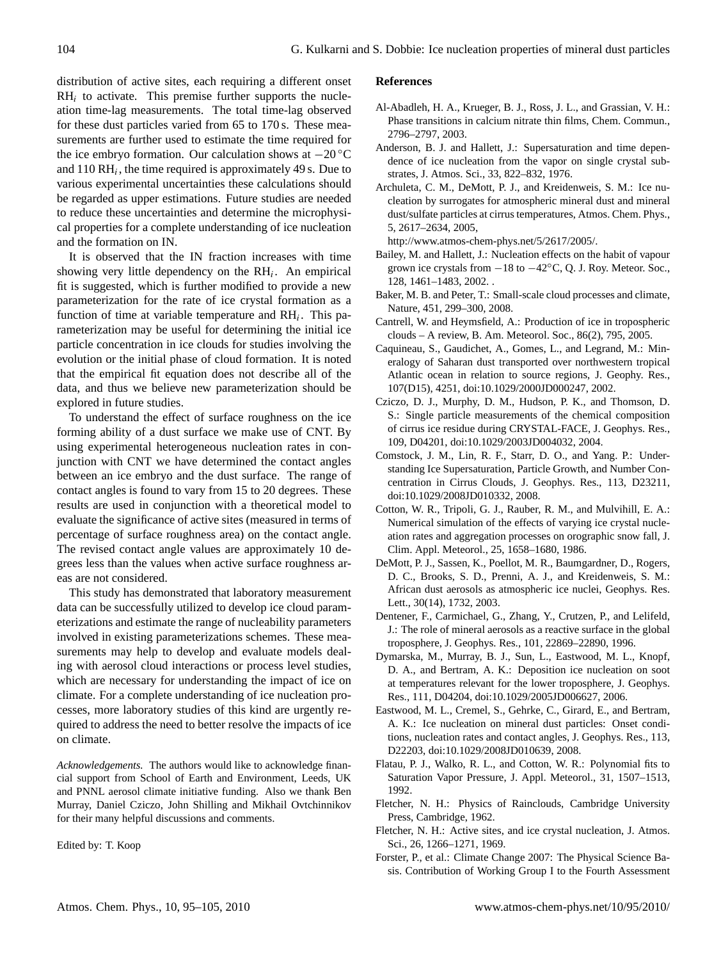distribution of active sites, each requiring a different onset  $RH_i$  to activate. This premise further supports the nucleation time-lag measurements. The total time-lag observed for these dust particles varied from 65 to 170 s. These measurements are further used to estimate the time required for the ice embryo formation. Our calculation shows at −20 ◦C and  $110 RH_i$ , the time required is approximately 49 s. Due to various experimental uncertainties these calculations should be regarded as upper estimations. Future studies are needed to reduce these uncertainties and determine the microphysical properties for a complete understanding of ice nucleation and the formation on IN.

It is observed that the IN fraction increases with time showing very little dependency on the  $RH_i$ . An empirical fit is suggested, which is further modified to provide a new parameterization for the rate of ice crystal formation as a function of time at variable temperature and  $RH_i$ . This parameterization may be useful for determining the initial ice particle concentration in ice clouds for studies involving the evolution or the initial phase of cloud formation. It is noted that the empirical fit equation does not describe all of the data, and thus we believe new parameterization should be explored in future studies.

To understand the effect of surface roughness on the ice forming ability of a dust surface we make use of CNT. By using experimental heterogeneous nucleation rates in conjunction with CNT we have determined the contact angles between an ice embryo and the dust surface. The range of contact angles is found to vary from 15 to 20 degrees. These results are used in conjunction with a theoretical model to evaluate the significance of active sites (measured in terms of percentage of surface roughness area) on the contact angle. The revised contact angle values are approximately 10 degrees less than the values when active surface roughness areas are not considered.

This study has demonstrated that laboratory measurement data can be successfully utilized to develop ice cloud parameterizations and estimate the range of nucleability parameters involved in existing parameterizations schemes. These measurements may help to develop and evaluate models dealing with aerosol cloud interactions or process level studies, which are necessary for understanding the impact of ice on climate. For a complete understanding of ice nucleation processes, more laboratory studies of this kind are urgently required to address the need to better resolve the impacts of ice on climate.

*Acknowledgements.* The authors would like to acknowledge financial support from School of Earth and Environment, Leeds, UK and PNNL aerosol climate initiative funding. Also we thank Ben Murray, Daniel Cziczo, John Shilling and Mikhail Ovtchinnikov for their many helpful discussions and comments.

Edited by: T. Koop

#### **References**

- Al-Abadleh, H. A., Krueger, B. J., Ross, J. L., and Grassian, V. H.: Phase transitions in calcium nitrate thin films, Chem. Commun., 2796–2797, 2003.
- Anderson, B. J. and Hallett, J.: Supersaturation and time dependence of ice nucleation from the vapor on single crystal substrates, J. Atmos. Sci., 33, 822–832, 1976.
- Archuleta, C. M., DeMott, P. J., and Kreidenweis, S. M.: Ice nucleation by surrogates for atmospheric mineral dust and mineral dust/sulfate particles at cirrus temperatures, Atmos. Chem. Phys., 5, 2617–2634, 2005,

[http://www.atmos-chem-phys.net/5/2617/2005/.](http://www.atmos-chem-phys.net/5/2617/2005/)

- Bailey, M. and Hallett, J.: Nucleation effects on the habit of vapour grown ice crystals from −18 to −42◦C, Q. J. Roy. Meteor. Soc., 128, 1461–1483, 2002. .
- Baker, M. B. and Peter, T.: Small-scale cloud processes and climate, Nature, 451, 299–300, 2008.
- Cantrell, W. and Heymsfield, A.: Production of ice in tropospheric clouds – A review, B. Am. Meteorol. Soc., 86(2), 795, 2005.
- Caquineau, S., Gaudichet, A., Gomes, L., and Legrand, M.: Mineralogy of Saharan dust transported over northwestern tropical Atlantic ocean in relation to source regions, J. Geophy. Res., 107(D15), 4251, doi:10.1029/2000JD000247, 2002.
- Cziczo, D. J., Murphy, D. M., Hudson, P. K., and Thomson, D. S.: Single particle measurements of the chemical composition of cirrus ice residue during CRYSTAL-FACE, J. Geophys. Res., 109, D04201, doi:10.1029/2003JD004032, 2004.
- Comstock, J. M., Lin, R. F., Starr, D. O., and Yang. P.: Understanding Ice Supersaturation, Particle Growth, and Number Concentration in Cirrus Clouds, J. Geophys. Res., 113, D23211, doi:10.1029/2008JD010332, 2008.
- Cotton, W. R., Tripoli, G. J., Rauber, R. M., and Mulvihill, E. A.: Numerical simulation of the effects of varying ice crystal nucleation rates and aggregation processes on orographic snow fall, J. Clim. Appl. Meteorol., 25, 1658–1680, 1986.
- DeMott, P. J., Sassen, K., Poellot, M. R., Baumgardner, D., Rogers, D. C., Brooks, S. D., Prenni, A. J., and Kreidenweis, S. M.: African dust aerosols as atmospheric ice nuclei, Geophys. Res. Lett., 30(14), 1732, 2003.
- Dentener, F., Carmichael, G., Zhang, Y., Crutzen, P., and Lelifeld, J.: The role of mineral aerosols as a reactive surface in the global troposphere, J. Geophys. Res., 101, 22869–22890, 1996.
- Dymarska, M., Murray, B. J., Sun, L., Eastwood, M. L., Knopf, D. A., and Bertram, A. K.: Deposition ice nucleation on soot at temperatures relevant for the lower troposphere, J. Geophys. Res., 111, D04204, doi:10.1029/2005JD006627, 2006.
- Eastwood, M. L., Cremel, S., Gehrke, C., Girard, E., and Bertram, A. K.: Ice nucleation on mineral dust particles: Onset conditions, nucleation rates and contact angles, J. Geophys. Res., 113, D22203, doi:10.1029/2008JD010639, 2008.
- Flatau, P. J., Walko, R. L., and Cotton, W. R.: Polynomial fits to Saturation Vapor Pressure, J. Appl. Meteorol., 31, 1507–1513, 1992.
- Fletcher, N. H.: Physics of Rainclouds, Cambridge University Press, Cambridge, 1962.
- Fletcher, N. H.: Active sites, and ice crystal nucleation, J. Atmos. Sci., 26, 1266–1271, 1969.
- Forster, P., et al.: Climate Change 2007: The Physical Science Basis. Contribution of Working Group I to the Fourth Assessment